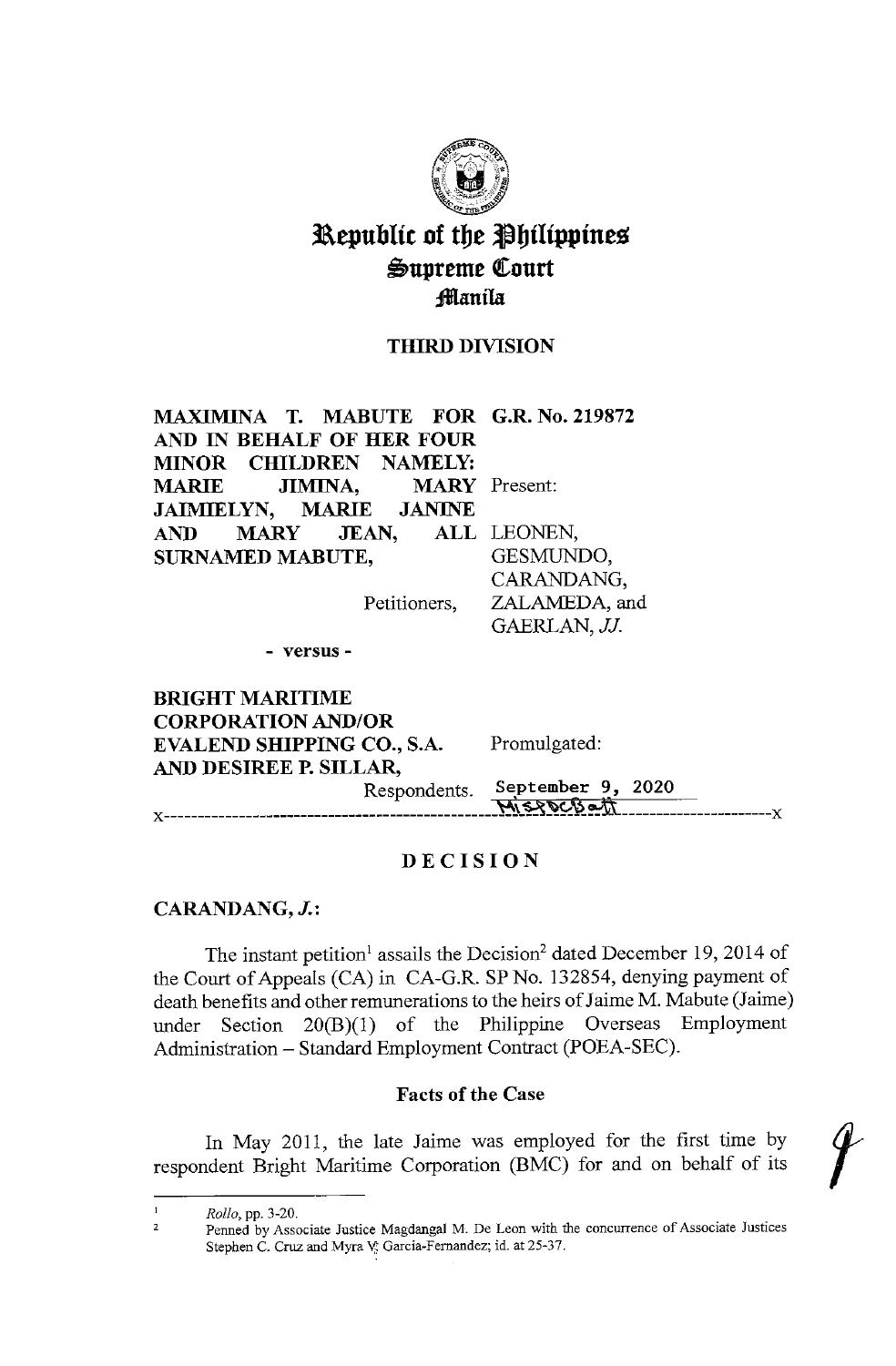

# Republic of the Philippines ~upreme Qeourt ;fflanila

## THIRD DIVISION

ZALAMEDA, and GAERLAN, JJ.

**MAXIMINA T. MABUTE FOR G.R. No. 219872**  AND IN **BEHALF OF HER FOUR MINOR CHILDREN NAMELY: MARIE JIMINA**, **JAIMIELYN, MARIE JANINE AND MARY JEAN, SURNAMED MABUTE, MARY** Present: ALL LEONEN, GESMUNDO, CARANDANG,

Petitioners,

- **versus** -

**BRIGHT MARITIME CORPORATION AND/OR EVALEND SHIPPING CO., S.A. AND DESIREE P. SILLAR,**  Promulgated: Respondents. September 9, 2020  $M_1 \leq P \circ C_2 \circ T_1$ 

#### **DECISION**

#### **CARANDANG, J.:**

The instant petition<sup>1</sup> assails the Decision<sup>2</sup> dated December 19, 2014 of the Court of Appeals (CA) in CA-G.R. SP No. 132854, denying payment of death benefits and other remunerations to the heirs of Jaime M. Mabute (Jaime) under Section 20(B)(l) of the Philippine Overseas Employment Administration - Standard Employment Contract (POEA-SEC).

#### **Facts of the Case**

In May 2011, the late Jaime was employed for the first time by respondent Bright Maritime Corporation (BMC) for and on behalf of its /

 $\mathbf{L}$ *Rollo,* pp. 3-20.

<sup>2</sup>  Penned by Associate Justice Magdangal M. De Leon with the concurrence of Associate Justices Stephen C. Cruz and Myra V: Garcia-Fernandez; id. at 25-37.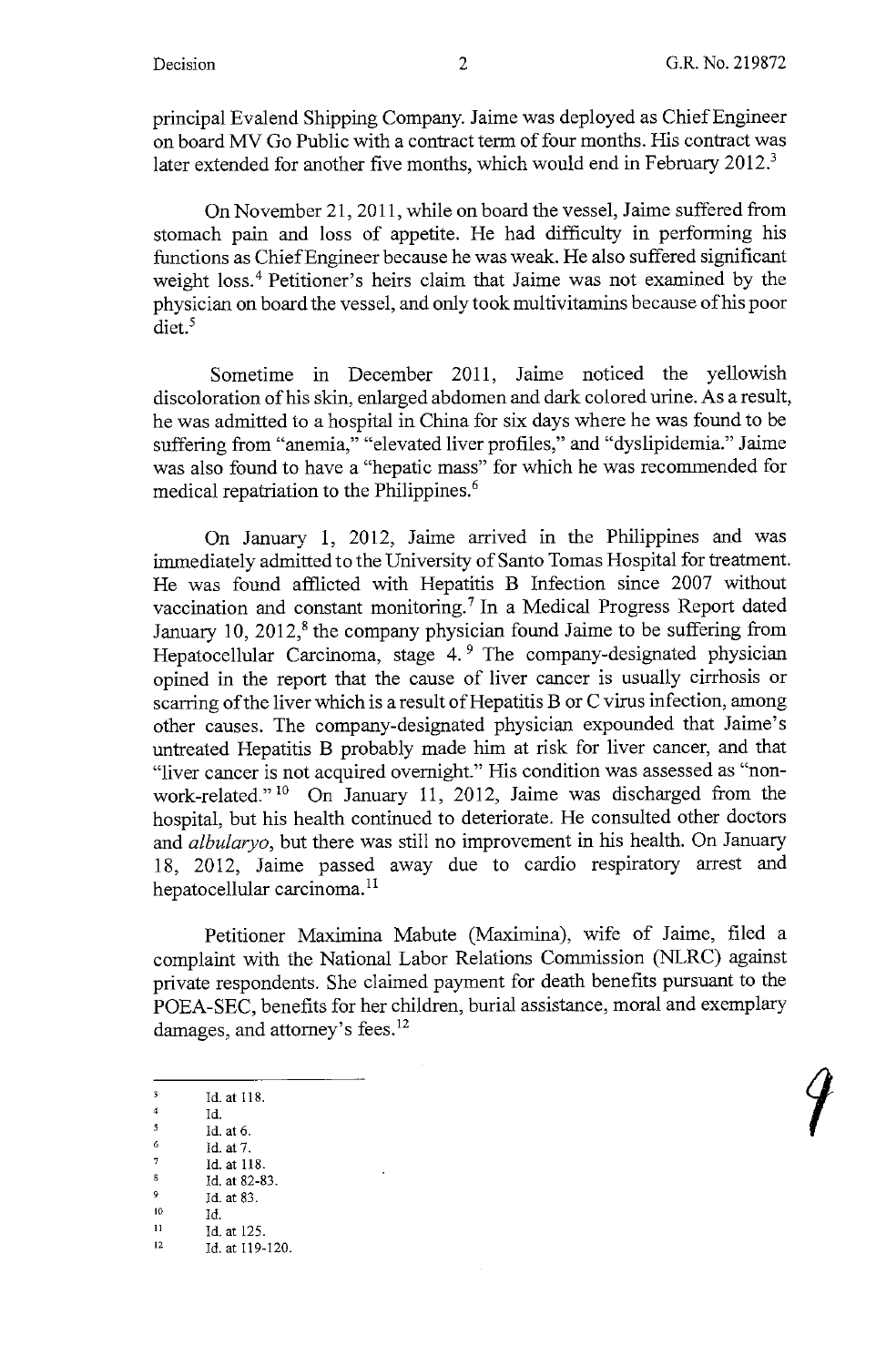1

principal Evalend Shipping Company. Jaime was deployed as Chief Engineer on board MV Go Public with a contract term of four months. His contract was later extended for another five months, which would end in February 2012.<sup>3</sup>

On November 21, 2011, while on board the vessel, Jaime suffered from stomach pain and loss of appetite. He had difficulty in performing his functions as Chief Engineer because he was weak. He also suffered significant weight loss.<sup>4</sup> Petitioner's heirs claim that Jaime was not examined by the physician on board the vessel, and only took multivitamins because of his poor diet.<sup>5</sup>

Sometime in December 2011, Jaime noticed the yellowish discoloration of his skin, enlarged abdomen and dark colored urine. As a result, he was admitted to a hospital in China for six days where he was found to be suffering from "anemia," "elevated liver profiles," and "dyslipidemia." Jaime was also found to have a "hepatic mass" for which he was recommended for medical repatriation to the Philippines.<sup>6</sup>

On January 1, 2012, Jaime arrived in the Philippines and was immediately admitted to the University of Santo Tomas Hospital for treatment. He was found afflicted with Hepatitis B Infection since 2007 without vaccination and constant monitoring.<sup>7</sup> In a Medical Progress Report dated January 10,  $2012$ ,<sup>8</sup> the company physician found Jaime to be suffering from Hepatocellular Carcinoma, stage 4.<sup>9</sup> The company-designated physician opined in the report that the cause of liver cancer is usually cirrhosis or scarring of the liver which is a result of Hepatitis B or C virus infection, among other causes. The company-designated physician expounded that Jaime's untreated Hepatitis B probably made him at risk for liver cancer, and that "liver cancer is not acquired overnight." His condition was assessed as "nonwork-related." 10 On January 11, 2012, Jaime was discharged from the hospital, but his health continued to deteriorate. He consulted other doctors and *albularyo,* but there was still no improvement in his health. On January 18, 2012, Jaime passed away due to cardio respiratory arrest and hepatocellular carcinoma. <sup>11</sup>

Petitioner Maximina Mabute (Maximina), wife of Jaime, filed a complaint with the National Labor Relations Commission (NLRC) against private respondents. She claimed payment for death benefits pursuant to the POEA-SEC, benefits for her children, burial assistance, moral and exemplary damages, and attorney's fees.<sup>12</sup>

- Id. at 6.
- $\frac{6}{7}$  Id. at 7.
- Id. at 118.  $\mathbf g$ Id. at 82-83.

- 
- 

 $\overline{\mathbf{3}}$ Id. at 118.

<sup>4</sup> Id.  $\overline{5}$ 

<sup>9</sup> Id. at 83.<br>
10 Id.<br>
11 Id. at 125.<br>
12 Id. at 119-120.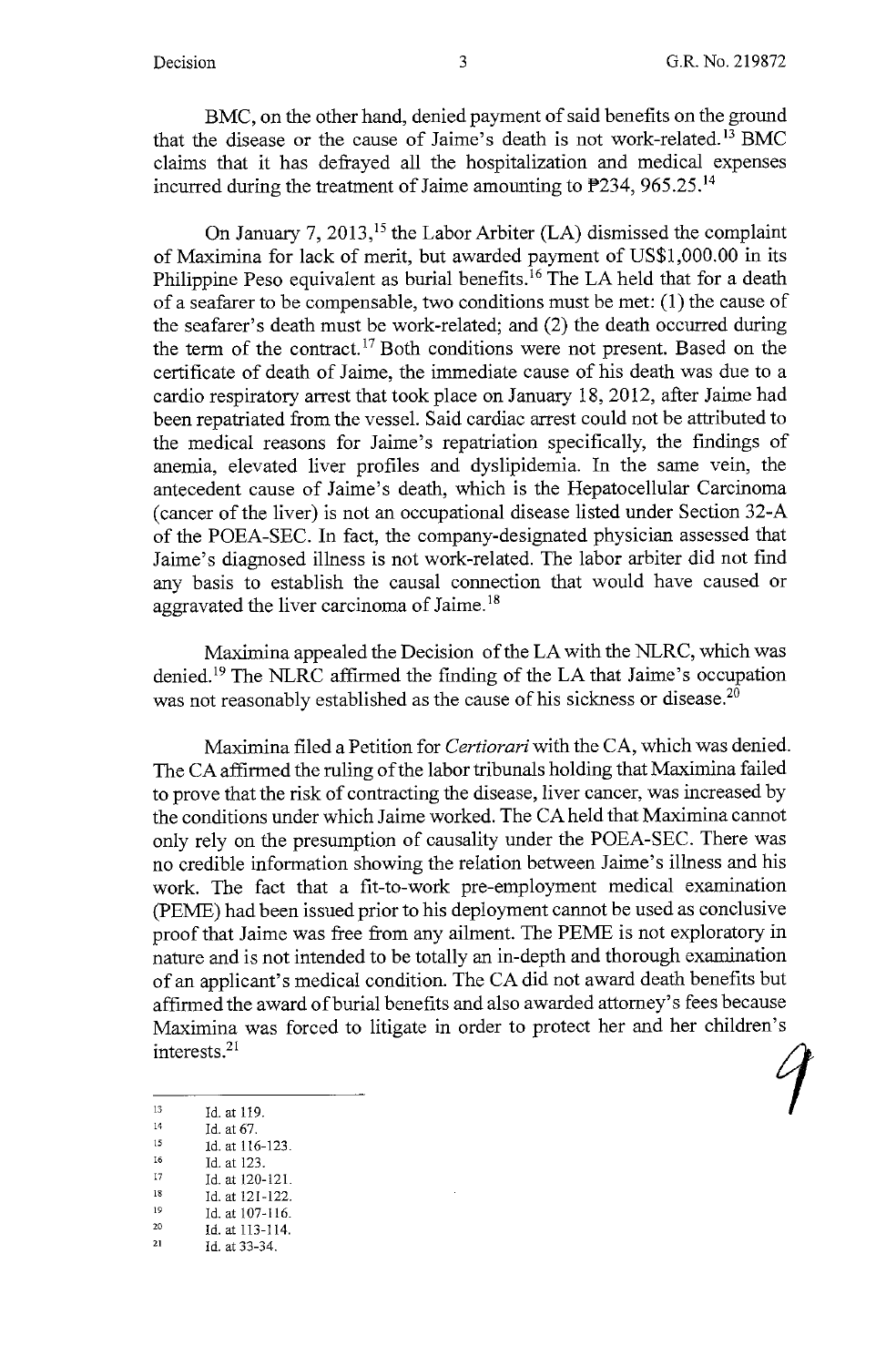BMC, on the other hand, denied payment of said benefits on the ground that the disease or the cause of Jaime's death is not work-related.<sup>13</sup> BMC claims that it has defrayed all the hospitalization and medical expenses incurred during the treatment of Jaime amounting to  $P234$ , 965.25.<sup>14</sup>

On January 7, 2013,<sup>15</sup> the Labor Arbiter (LA) dismissed the complaint of Maximina for lack of merit, but awarded payment of US\$1,000.00 in its Philippine Peso equivalent as burial benefits.<sup>16</sup> The LA held that for a death of a seafarer to be compensable, two conditions must be met: (1) the cause of the seafarer's death must be work-related; and (2) the death occurred during the term of the contract.<sup>17</sup> Both conditions were not present. Based on the certificate of death of Jaime, the immediate cause of his death was due to a cardio respiratory arrest that took place on January 18, 2012, after Jaime had been repatriated from the vessel. Said cardiac arrest could not be attributed to the medical reasons for Jaime's repatriation specifically, the findings of anemia, elevated liver profiles and dyslipidemia. In the same vein, the antecedent cause of Jaime's death, which is the Hepatocellular Carcinoma (cancer of the liver) is not an occupational disease listed under Section 32-A of the POEA-SEC. In fact, the company-designated physician assessed that Jaime's diagnosed illness is not work-related. The labor arbiter did not find any basis to establish the causal connection that would have caused or aggravated the liver carcinoma of Jaime.<sup>18</sup>

Maximina appealed the Decision of the LA with the NLRC, which was denied. 19 The NLRC affirmed the finding of the LA that Jaime's occupation was not reasonably established as the cause of his sickness or disease.<sup>20</sup>

Maximina filed a Petition for *Certiorari* with the CA, which was denied. The CA affirmed the ruling of the labor tribunals holding that Maximina failed to prove that the risk of contracting the disease, liver cancer, was increased by the conditions under which Jaime worked. The CA held that Maximina cannot only rely on the presumption of causality under the POEA-SEC. There was no credible information showing the relation between Jaime's illness and his work. The fact that a fit-to-work pre-employment medical examination (PEME) had been issued prior to his deployment cannot be used as conclusive proof that Jaime was free from any ailment. The PEME is not exploratory in nature and is not intended to be totally an in-depth and thorough examination of an applicant's medical condition. The CA did not award death benefits but affirmed the award of burial benefits and also awarded attorney's fees because Maximina was forced to litigate in order to protect her and her children's interests.<sup>21</sup>

- 16 Id. at 116-123.
- 17 Id. at 123.
- 18 Id. at 120-121.
- 19 Id. at 121-122. Id. at 107-116.
- 20 Id. at 113-114.

<sup>10.</sup> at 119.<br>  $\frac{14}{14}$  Id. at 67.<br>
15 1d at 116-123

<sup>21</sup>  Id. at **33-34.**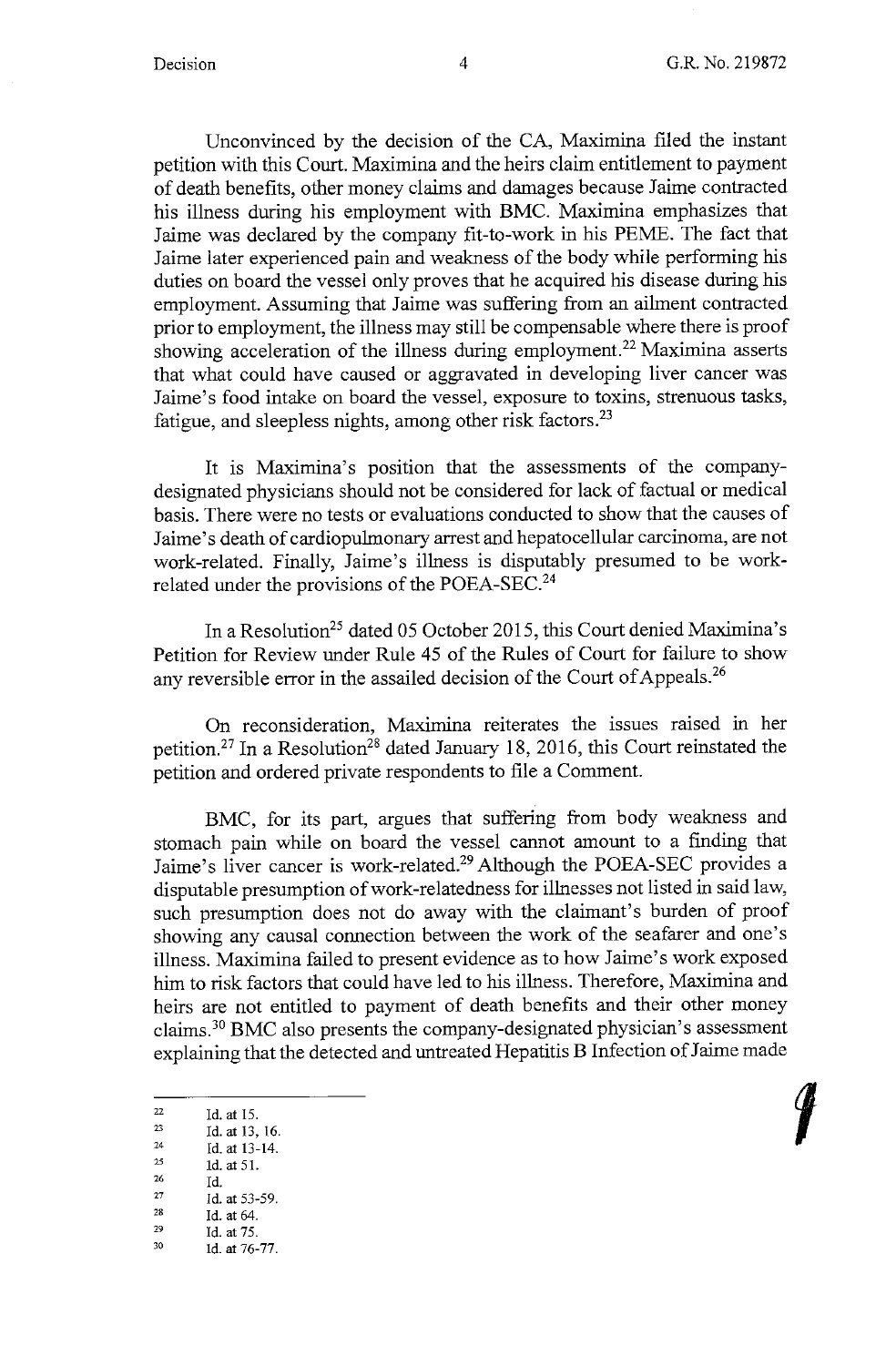**t** 

Unconvinced by the decision of the CA, Maximina filed the instant petition with this Court. Maximina and the heirs claim entitlement to payment of death benefits, other money claims and damages because Jaime contracted his illness during his employment with BMC. Maximina emphasizes that Jaime was declared by the company fit-to-work in his PEME. The fact that Jaime later experienced pain and weakness of the body while performing his duties on board the vessel only proves that he acquired his disease during his employment. Assuming that Jaime was suffering from an ailment contracted prior to employment, the illness may still be compensable where there is proof showing acceleration of the illness during employment.<sup>22</sup> Maximina asserts that what could have caused or aggravated in developing liver cancer was Jaime's food intake on board the vessel, exposure to toxins, strenuous tasks, fatigue, and sleepless nights, among other risk factors.<sup>23</sup>

It is Maximina's position that the assessments of the companydesignated physicians should not be considered for lack of factual or medical basis. There were no tests or evaluations conducted to show that the causes of Jaime's death of cardiopulmonary arrest and hepatocellular carcinoma, are not work-related. Finally, Jaime's illness is disputably presumed to be workrelated under the provisions of the POEA-SEC.<sup>24</sup>

In a Resolution<sup>25</sup> dated 05 October 2015, this Court denied Maximina's Petition for Review under Rule 45 of the Rules of Court for failure to show any reversible error in the assailed decision of the Court of Appeals.<sup>26</sup>

On reconsideration, Maximina reiterates the issues raised in her petition.<sup>27</sup> In a Resolution<sup>28</sup> dated January 18, 2016, this Court reinstated the petition and ordered private respondents to file a Comment.

BMC, for its part, argues that suffering from body weakness and stomach pain while on board the vessel cannot amount to a finding that Jaime's liver cancer is work-related.<sup>29</sup> Although the POEA-SEC provides a disputable presumption of work-relatedness for illnesses not listed in said law, such presumption does not do away with the claimant's burden of proof showing any causal connection between the work of the seafarer and one's illness. Maximina failed to present evidence as to how Jaime's work exposed him to risk factors that could have led to his illness. Therefore, Maximina and heirs are not entitled to payment of death benefits and their other money claims. <sup>30</sup>**BMC** also presents the company-designated physician's assessment explaining that the detected and untreated Hepatitis **B** Infection of Jaime made

 $\frac{26}{27}$  Id.

 $\frac{28}{29}$  Id. at 64.

<sup>22</sup> Id. at 15.<br>
23 Id. at 13, 16.<br>
24 Id. at 13-14.<br>
25 1d. at 51.

 $\frac{25}{26}$  1d. at 51.

 $^{27}$  Id. at 53-59.<br>  $^{28}$  Id. at 64.

 $^{29}$  Id. at 75.<br>  $^{30}$  Id. at 76-77.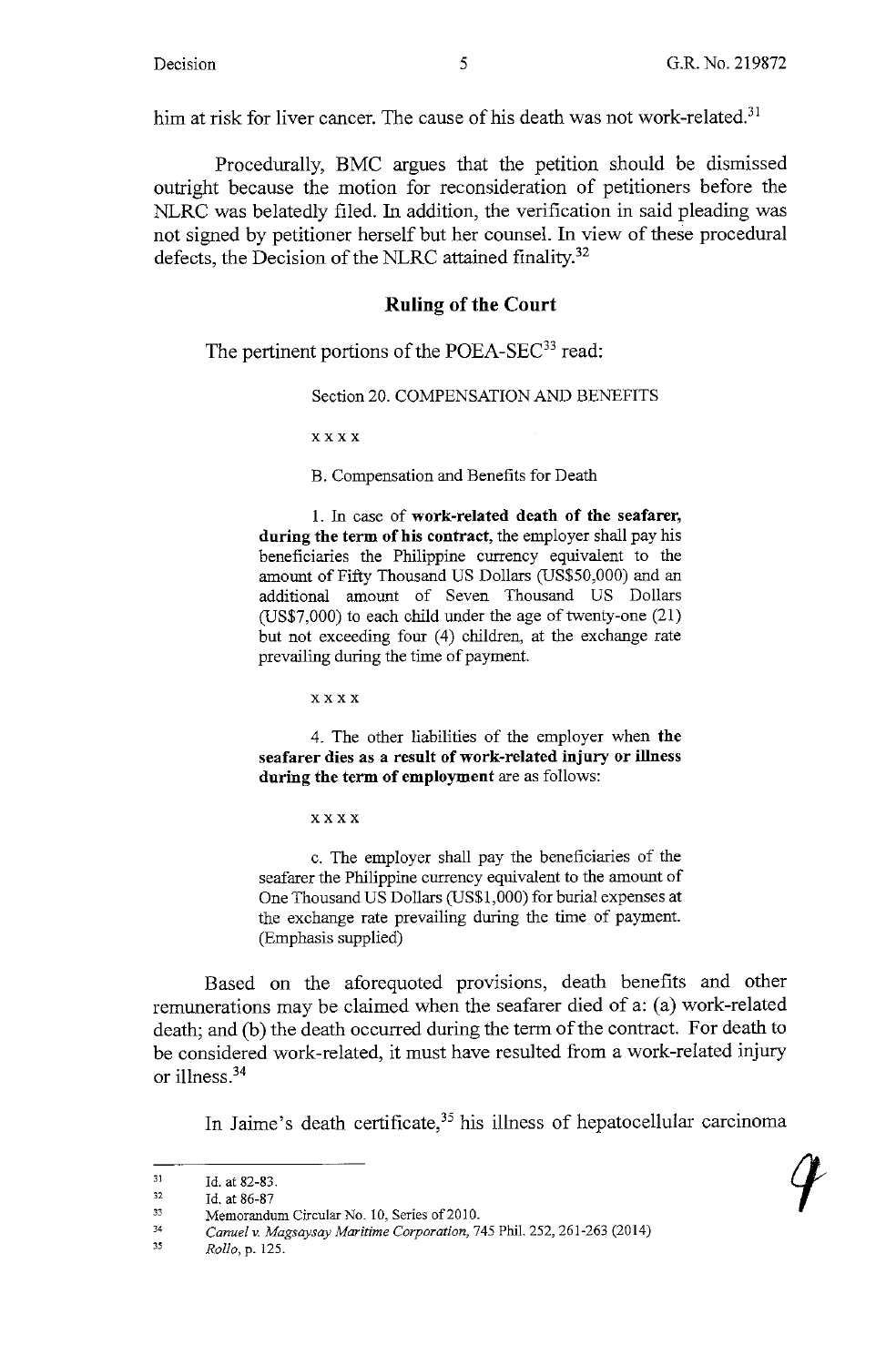him at risk for liver cancer. The cause of his death was not work-related.<sup>31</sup>

Procedurally, BMC argues that the petition should be dismissed outright because the motion for reconsideration of petitioners before the NLRC was belatedly filed. In addition, the verification in said pleading was not signed by petitioner herself but her counsel. In view of these procedural defects, the Decision of the NLRC attained finality.<sup>32</sup>

### **Ruling of the Court**

The pertinent portions of the POEA-SEC<sup>33</sup> read:

Section 20. COMPENSATION AND BENEFITS

xxxx

B. Compensation and Benefits for Death

1. 1n case of **work-related death of the seafarer, during the term of his contract,** the employer shall pay his beneficiaries the Philippine currency equivalent to the amount of Fifty Thousand US Dollars (US\$50,000) and an additional amount of Seven Thousand US Dollars (US\$7,000) to each child under the age of twenty-one (21) but not exceeding four (4) children, at the exchange rate prevailing during the time of payment.

xxxx

4. The other liabilities of the employer when **the seafarer dies as a result of work-related injury or illness during the term of employment** are as follows:

xxxx

c. The employer shall pay the beneficiaries of the seafarer the Philippine currency equivalent to the amount of One Thousand US Dollars (US\$1,000) for burial expenses at the exchange rate prevailing during the time of payment. (Emphasis supplied)

Based on the aforequoted provisions, death benefits and other remunerations may be claimed when the seafarer died of a: (a) work-related death; and (b) the death occurred during the term of the contract. For death to be considered work-related, it must have resulted from a work-related injury or illness.34

In Jaime's death certificate,<sup>35</sup> his illness of hepatocellular carcinoma

<sup>31</sup>  Id. at 82-83.

<sup>32</sup>  Id. at 86-87

<sup>33</sup>  Memorandum Circular No. 10, Series of 2010.

<sup>34</sup>  *Canuel v. Magsaysay Maritime Corporation,* 745 Phil. 252, 261-263 (2014)

<sup>35</sup>  *Rollo,* p. 125.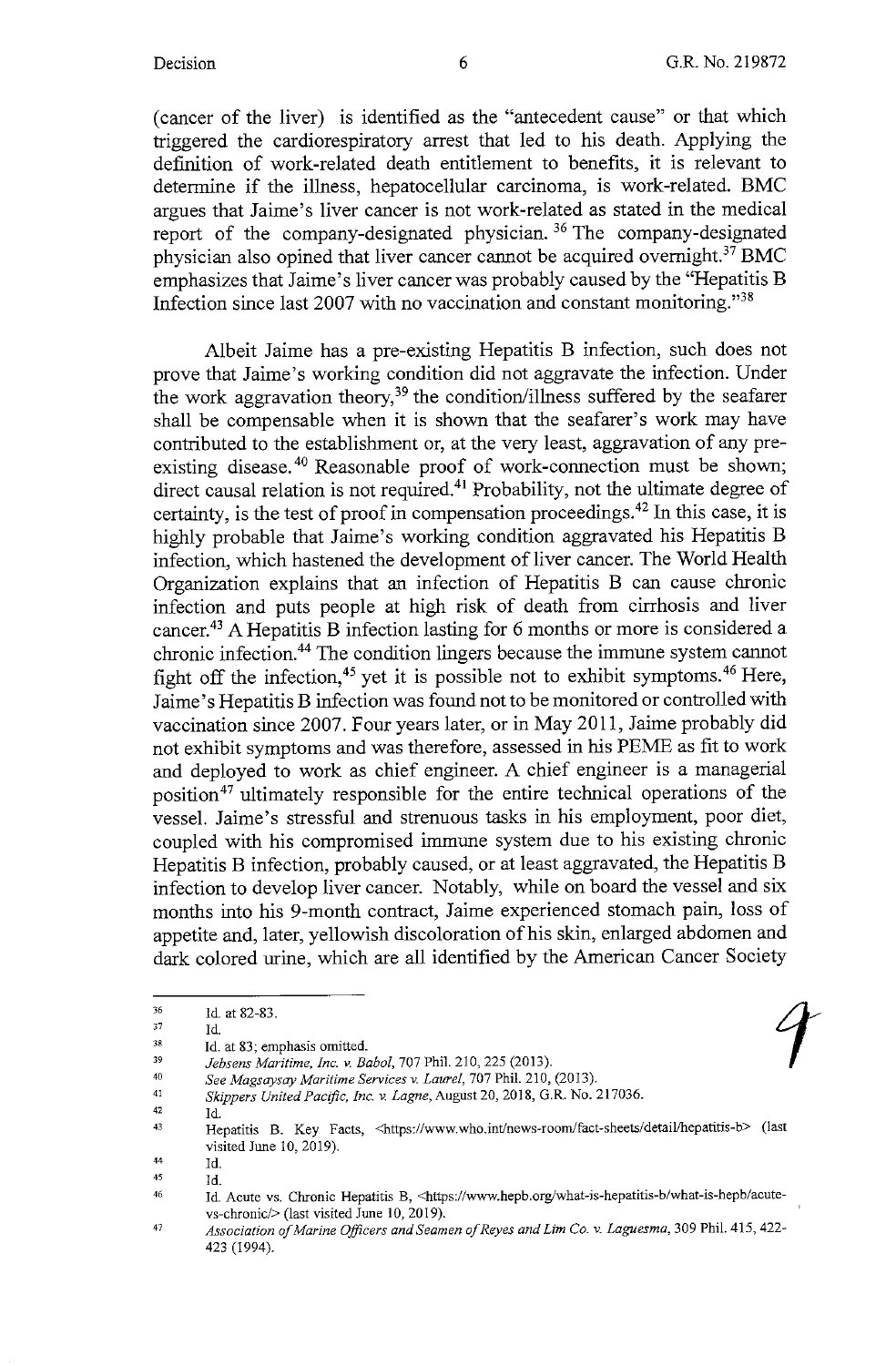(cancer of the liver) is identified as the "antecedent cause" or that which triggered the cardiorespiratory arrest that led to his death. Applying the definition of work-related death entitlement to benefits, it is relevant to determine if the illness, hepatocellular carcinoma, is work-related. BMC argues that Jaime's liver cancer is not work-related as stated in the medical report of the company-designated physician. 36 The company-designated physician also opined that liver cancer cannot be acquired overnight.<sup>37</sup> BMC emphasizes that Jaime's liver cancer was probably caused by the "Hepatitis B Infection since last 2007 with no vaccination and constant monitoring."<sup>38</sup>

Albeit Jaime has a pre-existing Hepatitis B infection, such does not prove that Jaime's working condition did not aggravate the infection. Under the work aggravation theory,<sup>39</sup> the condition/illness suffered by the seafarer shall be compensable when it is shown that the seafarer's work may have contributed to the establishment or, at the very least, aggravation of any preexisting disease.<sup>40</sup> Reasonable proof of work-connection must be shown; direct causal relation is not required.<sup>41</sup> Probability, not the ultimate degree of certainty, is the test of proof in compensation proceedings. 42 In this case, it is highly probable that Jaime's working condition aggravated his Hepatitis **B**  infection, which hastened the development of liver cancer. The World Health Organization explains that an infection of Hepatitis **B** can cause chronic infection and puts people at high risk of death from cirrhosis and liver cancer.43 A Hepatitis **B** infection lasting for 6 months or more is considered a chronic infection.44 The condition lingers because the immune system cannot fight off the infection,<sup>45</sup> yet it is possible not to exhibit symptoms.<sup>46</sup> Here, Jaime's Hepatitis B infection was found not to be monitored or controlled with vaccination since 2007. Four years later, or in May 2011, Jaime probably did not exhibit symptoms and was therefore, assessed in his PEME as fit to work and deployed to work as chief engineer. A chief engineer is a managerial position<sup>47</sup> ultimately responsible for the entire technical operations of the vessel. Jaime's stressful and strenuous tasks in his employment, poor diet, coupled with his compromised immune system due to his existing chronic Hepatitis B infection, probably caused, or at least aggravated, the Hepatitis B infection to develop liver cancer. Notably, while on board the vessel and six months into his 9-month contract, Jaime experienced stomach pain, loss of appetite and, later, yellowish discoloration of his skin, enlarged abdomen and dark colored urine, which are all identified by the American Cancer Society

42 Id.

<sup>36</sup>  Id. at 82-83.

<sup>37</sup>  Id.

<sup>38</sup>  Id. at 83; emphasis omitted.

<sup>39</sup>  40 *Jebsens Maritime, Inc. v. Baba/,* 707 Phil. 210,225 (2013).

See Magsaysay Maritime Services v. Laurel, 707 Phil. 210, (2013).

<sup>41</sup>  *Skippers United Pacific, Inc.* v. *Lagne,* August 20, 2018, G.R. No. 217036.

<sup>43</sup>  Hepatitis B. Key Facts, <https://www.who.int/news-room/fact-sheets/detail/hepatitis-b> (last visited June 10, 2019).

<sup>44</sup>  Id.

<sup>45</sup>  Id.

<sup>46</sup>  Id. Acute vs. Chronic Hepatitis B, <https://www.hepb.org/what-is-hepatitis-b/what-is-hepb/acutevs-chronic/> (last visited June 10, 2019).

<sup>47</sup>  *Association of Marine Officers and Seamen of Reyes and Lim Co.* v. *Laguesma,* 309 Phil. 415, 422- 423 (1994).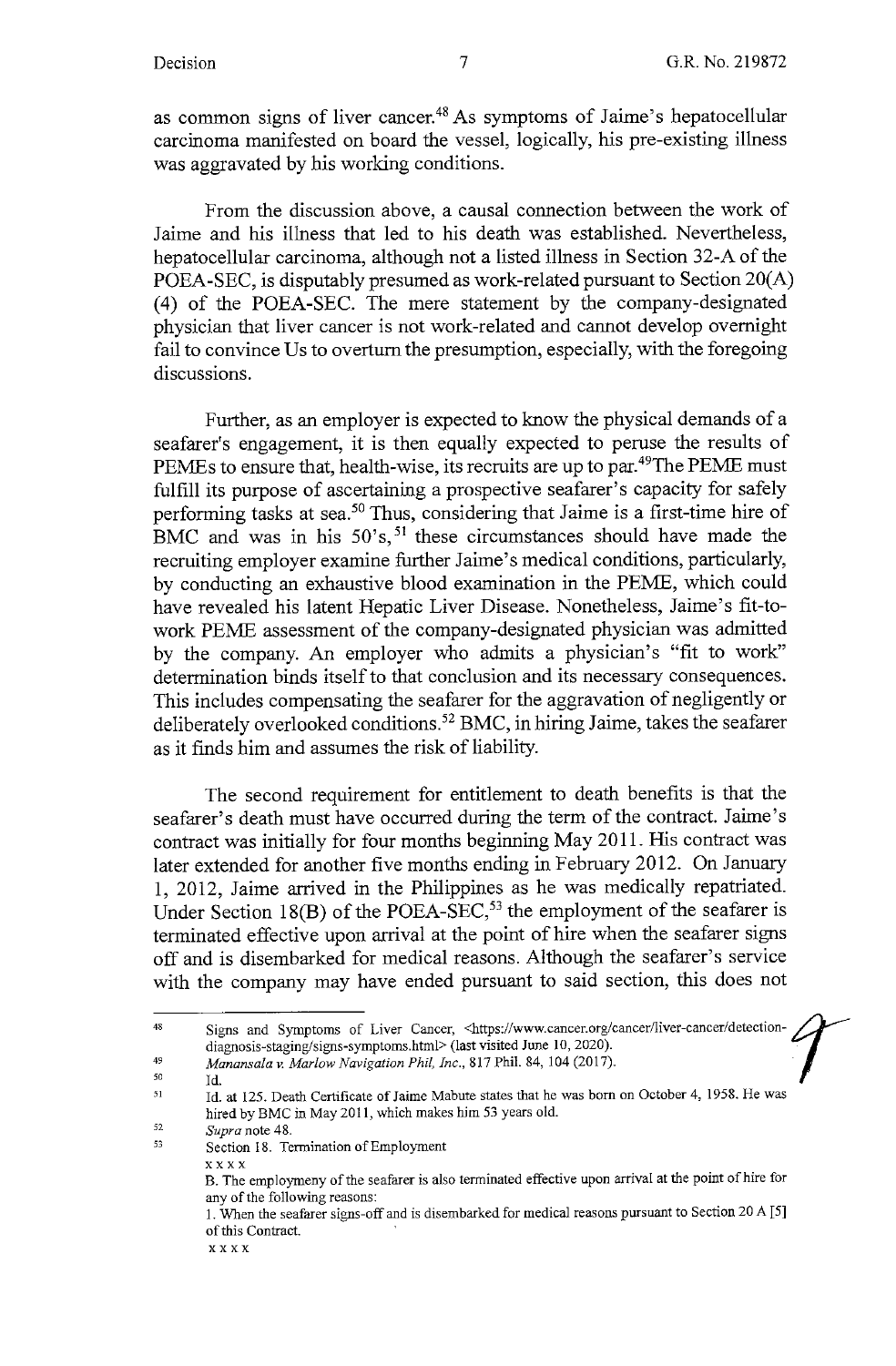as common signs of liver cancer.48 As symptoms of Jaime's hepatocellular carcinoma manifested on board the vessel, logically, his pre-existing illness was aggravated by his working conditions.

From the discussion above, a causal connection between the work of Jaime and his illness that led to his death was established. Nevertheless, hepatocellular carcinoma, although not a listed illness in Section 32-A of the POEA-SEC, is disputably presumed as work-related pursuant to Section 20(A) (4) of the POEA-SEC. The mere statement by the company-designated physician that liver cancer is not work-related and cannot develop overnight fail to convince Us to overturn the presumption, especially, with the foregoing discussions.

Further, as an employer is expected to know the physical demands of a seafarer's engagement, it is then equally expected to peruse the results of PEMEs to ensure that, health-wise, its recruits are up to par.<sup>49</sup>The PEME must fulfill its purpose of ascertaining a prospective seafarer's capacity for safely performing tasks at sea.<sup>50</sup> Thus, considering that Jaime is a first-time hire of BMC and was in his 50's,<sup>51</sup> these circumstances should have made the recruiting employer examine further Jaime's medical conditions, particularly, by conducting an exhaustive blood examination in the PEME, which could have revealed his latent Hepatic Liver Disease. Nonetheless, Jaime's fit-towork PEME assessment of the company-designated physician was admitted by the company. An employer who admits a physician's "fit to work" determination binds itself to that conclusion and its necessary consequences. This includes compensating the seafarer for the aggravation of negligently or deliberately overlooked conditions. 52 BMC, in hiring Jaime, takes the seafarer as it finds him and assumes the risk of liability.

The second requirement for entitlement to death benefits is that the seafarer's death must have occurred during the term of the contract. Jaime's contract was initially for four months beginning May 2011. His contract was later extended for another five months ending in February 2012. On January 1, 2012, Jaime arrived in the Philippines as he was medically repatriated. Under Section  $18(B)$  of the POEA-SEC,<sup>53</sup> the employment of the seafarer is terminated effective upon arrival at the point of hire when the seafarer signs off and is disembarked for medical reasons. Although the seafarer's service with the company may have ended pursuant to said section, this does not

52 *Supra* note 48.

**xxxx** 

Id.

<sup>48</sup>  49 Signs and Symptoms of Liver Cancer, <https://www.cancer.org/cancer/liver-cancer/detectiondiagnosis-staging/signs-symptoms.html> (last visited June JO, 2020). *Manansala v. Marlow Navigation Phil, Inc.,* 817 Phil. 84, 104 (2017). ·

<sup>50</sup> 

<sup>51</sup>  Id. at 125. Death Certificate of Jaime Mabute states that he was born on October 4, 1958. He was hired by BMC in May 2011, which makes him 53 years old.

<sup>53</sup>  Section 18. Termination of Employment

B. The employrneny of the seafarer is also terminated effective upon arrival at the point of hire for **any of the following reasons:** 

<sup>1.</sup> When the seafarer signs-off and is disembarked for medical reasons pursuant to Section 20 A [5] of this Contract.

**xxxx**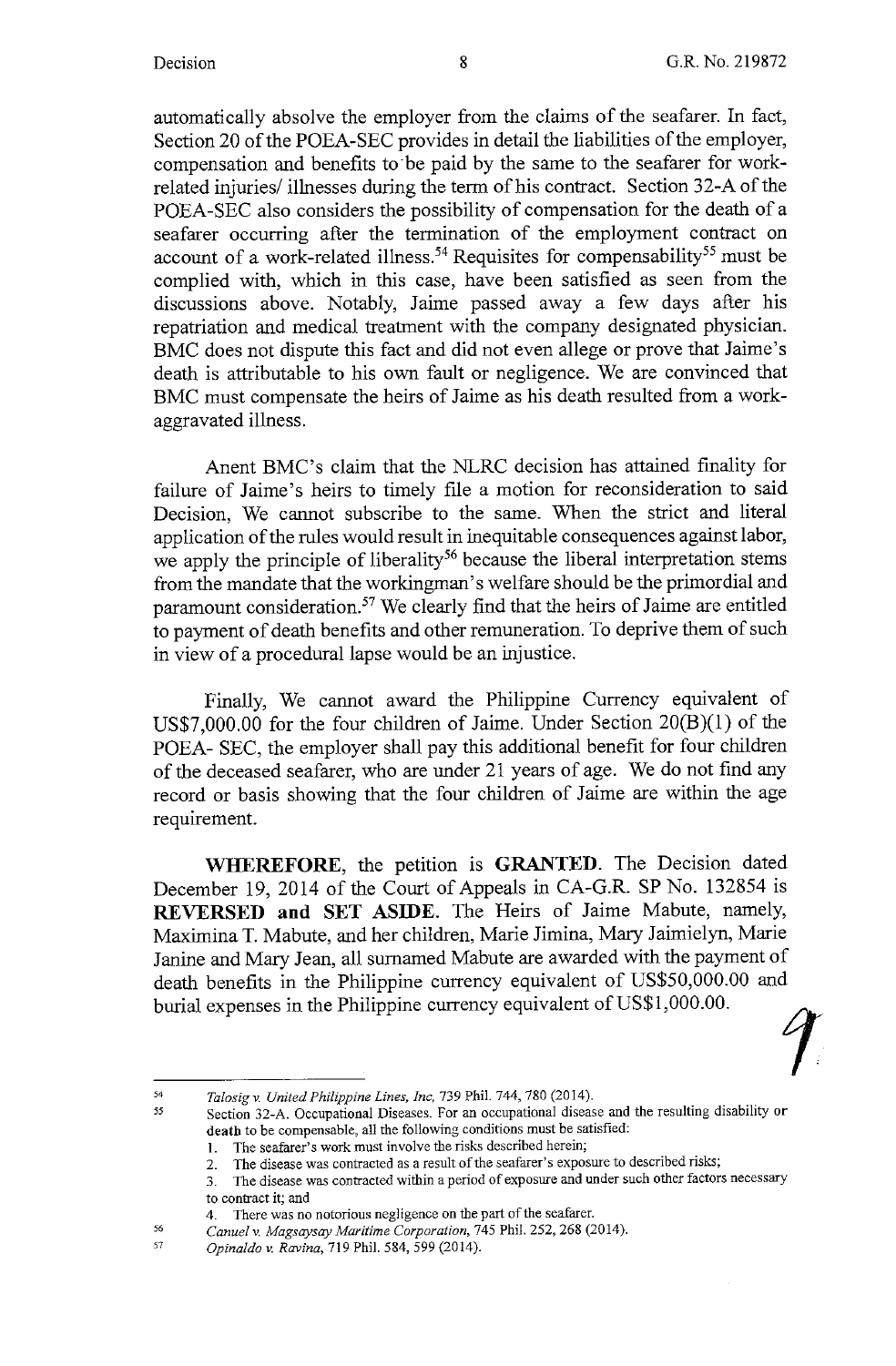automatically absolve the employer from the claims of the seafarer. In fact, Section 20 of the POEA-SEC provides in detail the liabilities of the employer, compensation and benefits to be paid by the same to the seafarer for workrelated injuries/ illnesses during the term of his contract. Section 32-A of the POEA-SEC also considers the possibility of compensation for the death of a seafarer occurring after the termination of the employment contract on account of a work-related illness.<sup>54</sup> Requisites for compensability<sup>55</sup> must be complied with, which in this case, have been satisfied as seen from the discussions above. Notably, Jaime passed away a few days after his repatriation and medical treatment with the company designated physician. BMC does not dispute this fact and did not even allege or prove that Jaime's death is attributable to his own fault or negligence. We are convinced that BMC must compensate the heirs of Jaime as his death resulted from a workaggravated illness.

Anent BMC's claim that the NLRC decision has attained finality for failure of Jaime's heirs to timely file a motion for reconsideration to said Decision, We cannot subscribe to the same. When the strict and literal application of the rules would result in inequitable consequences against labor, we apply the principle of liberality<sup>56</sup> because the liberal interpretation stems from the mandate that the workingman's welfare should be the primordial and paramount consideration.<sup>57</sup> We clearly find that the heirs of Jaime are entitled to payment of death benefits and other remuneration. To deprive them of such in view of a procedural lapse would be an injustice.

Finally, We cannot award the Philippine Currency equivalent of US\$7,000.00 for the four children of Jaime. Under Section 20(B)(l) of the POEA- SEC, the employer shall pay this additional benefit for four children of the deceased seafarer, who are under 21 years of age. We do not find any record or basis showing that the four children of Jaime are within the age requirement.

WHEREFORE, the petition is **GRANTED**. The Decision dated December 19, 2014 of the Court of Appeals in CA-G.R. SP No. 132854 is **REVERSED and SET ASIDE.** The Heirs of Jaime Mabute, namely, Maximina T. Mabute, and her children, Marie Jimina, Mary Jaimielyn, Marie Janine and Mary Jean, all surnamed Mabute are awarded with the payment of death benefits in the Philippine currency equivalent of US\$50,000.00 and burial expenses in the Philippine currency equivalent of US\$1,000.00.<br> *Falosia v. United Philippine Lines, Inc.* 739 Phil. 744, 780 (2014).

56

<sup>55</sup>  *Talosigv. United Philippine Lines, Inc,* 739 Phil. 744, 780 (2014).

Section 32-A. Occupational Diseases. For an occupational disease and the resulting disability **or death to be compensable, all the following conditions must be satisfied:** 

I. The seafarer's work must involve the risks described herein;

<sup>2.</sup> The disease was contracted as a result of the seafarer's exposure to described risks;

**<sup>3.</sup> The disease was contracted within a period of exposure and under such other factors necessary to contract it; and** 

**<sup>4.</sup> There was no notorious negligence on the part of the seafarer.** 

*Canuel v. Magsaysay Maritime Corporation,* 745 Phil. 252,268 (2014).

<sup>57</sup>  *Opinaldo v. Ravina,* 719 Phil. 584,599 (2014).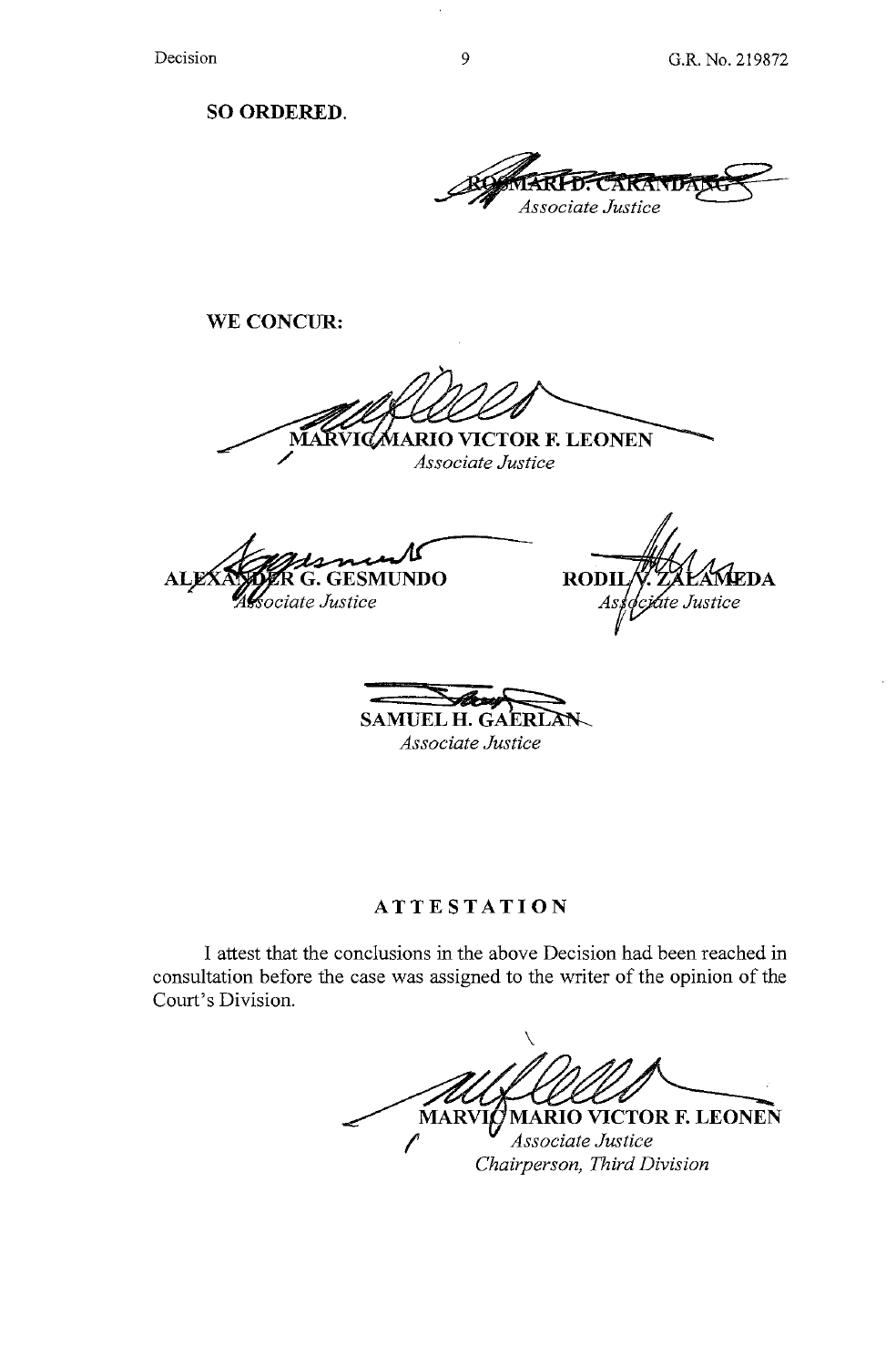**SO ORDERED.** 

~~~RAN~ *Associate Justice* 

**WE CONCUR:** 

**IARIO VICTOR F. LEONEN** *Associate Justice* 

**ALE G.GESMUNDO**  ociate Justice

**RODI**  $\mathbf{E}\mathbf{D}\mathbf{A}$ jate Justice As

 $SAMUEL H. GAFRLAN$ 

*Associate Justice* 

**ATTESTATION** 

I attest that the conclusions in the above Decision had been reached in consultation before the case was assigned to the writer of the opinion of the Court's Division.

 $\setminus$ **MARIO VICTOR F. LEONEN MARV** *Associate Justice Chairperson, Third Division*